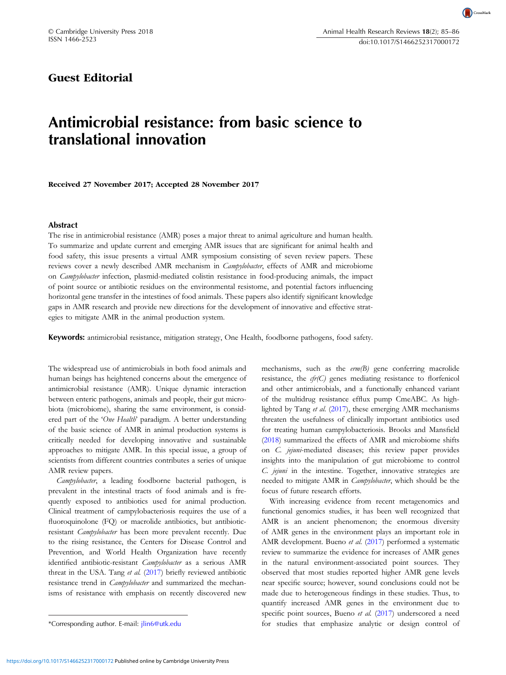CrossMark

## Guest Editorial

## Antimicrobial resistance: from basic science to translational innovation

Received 27 November 2017; Accepted 28 November 2017

## Abstract

The rise in antimicrobial resistance (AMR) poses a major threat to animal agriculture and human health. To summarize and update current and emerging AMR issues that are significant for animal health and food safety, this issue presents a virtual AMR symposium consisting of seven review papers. These reviews cover a newly described AMR mechanism in Campylobacter, effects of AMR and microbiome on *Campylobacter* infection, plasmid-mediated colistin resistance in food-producing animals, the impact of point source or antibiotic residues on the environmental resistome, and potential factors influencing horizontal gene transfer in the intestines of food animals. These papers also identify significant knowledge gaps in AMR research and provide new directions for the development of innovative and effective strategies to mitigate AMR in the animal production system.

Keywords: antimicrobial resistance, mitigation strategy, One Health, foodborne pathogens, food safety.

The widespread use of antimicrobials in both food animals and human beings has heightened concerns about the emergence of antimicrobial resistance (AMR). Unique dynamic interaction between enteric pathogens, animals and people, their gut microbiota (microbiome), sharing the same environment, is considered part of the 'One Health' paradigm. A better understanding of the basic science of AMR in animal production systems is critically needed for developing innovative and sustainable approaches to mitigate AMR. In this special issue, a group of scientists from different countries contributes a series of unique AMR review papers.

Campylobacter, a leading foodborne bacterial pathogen, is prevalent in the intestinal tracts of food animals and is frequently exposed to antibiotics used for animal production. Clinical treatment of campylobacteriosis requires the use of a fluoroquinolone (FQ) or macrolide antibiotics, but antibioticresistant Campylobacter has been more prevalent recently. Due to the rising resistance, the Centers for Disease Control and Prevention, and World Health Organization have recently identified antibiotic-resistant Campylobacter as a serious AMR threat in the USA. Tang et al. ([2017\)](#page-1-0) briefly reviewed antibiotic resistance trend in *Campylobacter* and summarized the mechanisms of resistance with emphasis on recently discovered new

mechanisms, such as the  $erm(B)$  gene conferring macrolide resistance, the  $cfr(C)$  genes mediating resistance to florfenicol and other antimicrobials, and a functionally enhanced variant of the multidrug resistance efflux pump CmeABC. As highlighted by Tang et al. ([2017\)](#page-1-0), these emerging AMR mechanisms threaten the usefulness of clinically important antibiotics used for treating human campylobacteriosis. Brooks and Mansfield ([2018\)](#page-1-0) summarized the effects of AMR and microbiome shifts on C. jejuni-mediated diseases; this review paper provides insights into the manipulation of gut microbiome to control C. jejuni in the intestine. Together, innovative strategies are needed to mitigate AMR in *Campylobacter*, which should be the focus of future research efforts.

With increasing evidence from recent metagenomics and functional genomics studies, it has been well recognized that AMR is an ancient phenomenon; the enormous diversity of AMR genes in the environment plays an important role in AMR development. Bueno et al. [\(2017](#page-1-0)) performed a systematic review to summarize the evidence for increases of AMR genes in the natural environment-associated point sources. They observed that most studies reported higher AMR gene levels near specific source; however, sound conclusions could not be made due to heterogeneous findings in these studies. Thus, to quantify increased AMR genes in the environment due to specific point sources, Bueno et al. ([2017\)](#page-1-0) underscored a need \*Corresponding author. E-mail: [jlin6@utk.edu](mailto:jlin6@utk.edu) for studies that emphasize analytic or design control of